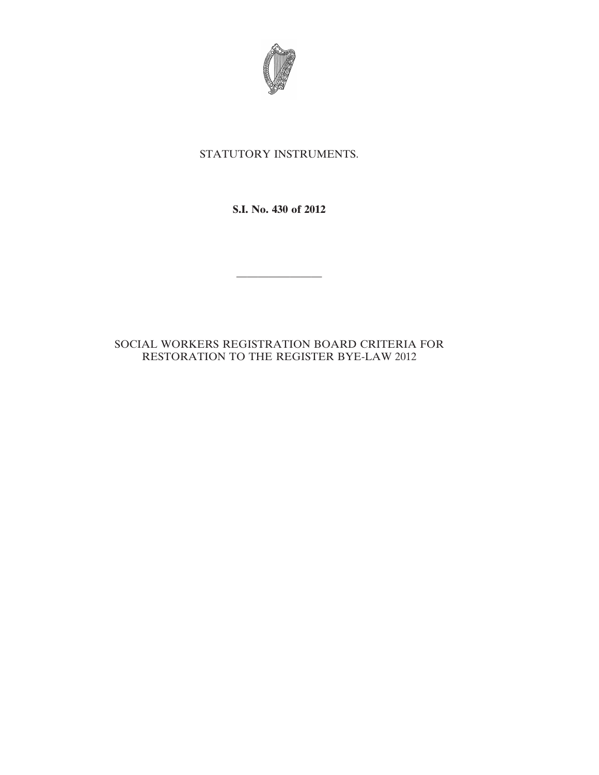

## STATUTORY INSTRUMENTS.

**S.I. No. 430 of 2012**

————————

## SOCIAL WORKERS REGISTRATION BOARD CRITERIA FOR RESTORATION TO THE REGISTER BYE-LAW 2012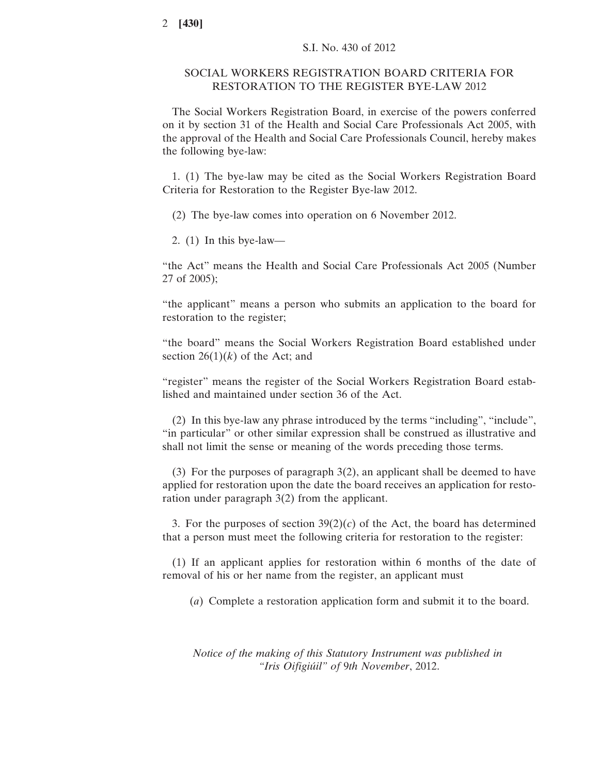## SOCIAL WORKERS REGISTRATION BOARD CRITERIA FOR RESTORATION TO THE REGISTER BYE-LAW 2012

The Social Workers Registration Board, in exercise of the powers conferred on it by section 31 of the Health and Social Care Professionals Act 2005, with the approval of the Health and Social Care Professionals Council, hereby makes the following bye-law:

1. (1) The bye-law may be cited as the Social Workers Registration Board Criteria for Restoration to the Register Bye-law 2012.

(2) The bye-law comes into operation on 6 November 2012.

2. (1) In this bye-law—

"the Act" means the Health and Social Care Professionals Act 2005 (Number 27 of 2005);

"the applicant" means a person who submits an application to the board for restoration to the register;

"the board" means the Social Workers Registration Board established under section  $26(1)(k)$  of the Act; and

"register" means the register of the Social Workers Registration Board established and maintained under section 36 of the Act.

(2) In this bye-law any phrase introduced by the terms "including", "include", "in particular" or other similar expression shall be construed as illustrative and shall not limit the sense or meaning of the words preceding those terms.

(3) For the purposes of paragraph 3(2), an applicant shall be deemed to have applied for restoration upon the date the board receives an application for restoration under paragraph 3(2) from the applicant.

3. For the purposes of section  $39(2)(c)$  of the Act, the board has determined that a person must meet the following criteria for restoration to the register:

(1) If an applicant applies for restoration within 6 months of the date of removal of his or her name from the register, an applicant must

(*a*) Complete a restoration application form and submit it to the board.

*Notice of the making of this Statutory Instrument was published in "Iris Oifigiúil" of* 9*th November*, 2012.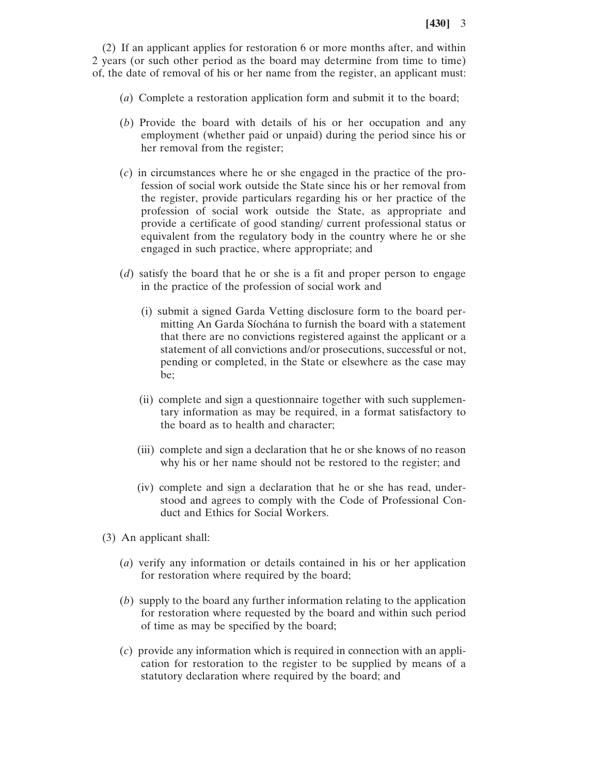(2) If an applicant applies for restoration 6 or more months after, and within 2 years (or such other period as the board may determine from time to time) of, the date of removal of his or her name from the register, an applicant must:

- (*a*) Complete a restoration application form and submit it to the board;
- (*b*) Provide the board with details of his or her occupation and any employment (whether paid or unpaid) during the period since his or her removal from the register;
- (*c*) in circumstances where he or she engaged in the practice of the profession of social work outside the State since his or her removal from the register, provide particulars regarding his or her practice of the profession of social work outside the State, as appropriate and provide a certificate of good standing/ current professional status or equivalent from the regulatory body in the country where he or she engaged in such practice, where appropriate; and
- (*d*) satisfy the board that he or she is a fit and proper person to engage in the practice of the profession of social work and
	- (i) submit a signed Garda Vetting disclosure form to the board permitting An Garda Síochána to furnish the board with a statement that there are no convictions registered against the applicant or a statement of all convictions and/or prosecutions, successful or not, pending or completed, in the State or elsewhere as the case may be;
	- (ii) complete and sign a questionnaire together with such supplementary information as may be required, in a format satisfactory to the board as to health and character;
	- (iii) complete and sign a declaration that he or she knows of no reason why his or her name should not be restored to the register; and
	- (iv) complete and sign a declaration that he or she has read, understood and agrees to comply with the Code of Professional Conduct and Ethics for Social Workers.
- (3) An applicant shall:
	- (*a*) verify any information or details contained in his or her application for restoration where required by the board;
	- (*b*) supply to the board any further information relating to the application for restoration where requested by the board and within such period of time as may be specified by the board;
	- (*c*) provide any information which is required in connection with an application for restoration to the register to be supplied by means of a statutory declaration where required by the board; and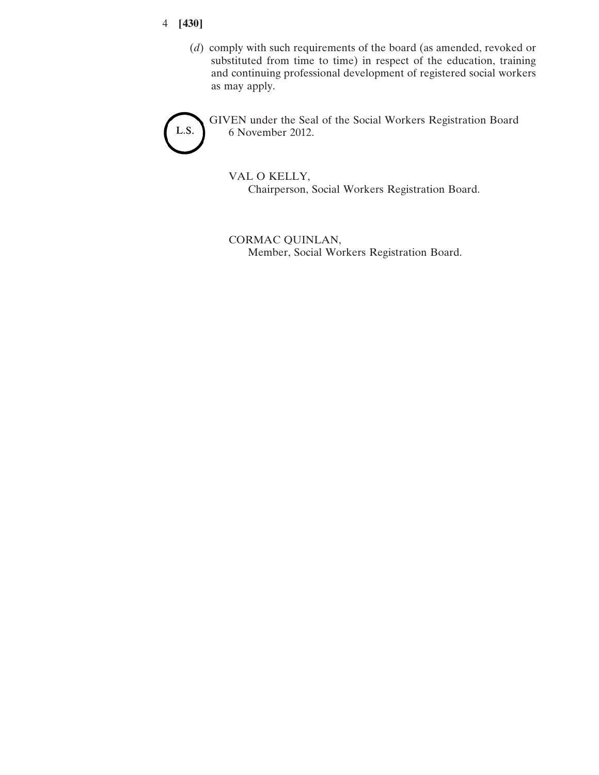- 4 **[430]**
	- (*d*) comply with such requirements of the board (as amended, revoked or substituted from time to time) in respect of the education, training and continuing professional development of registered social workers as may apply.



GIVEN under the Seal of the Social Workers Registration Board 6 November 2012.

VAL O KELLY, Chairperson, Social Workers Registration Board.

CORMAC QUINLAN, Member, Social Workers Registration Board.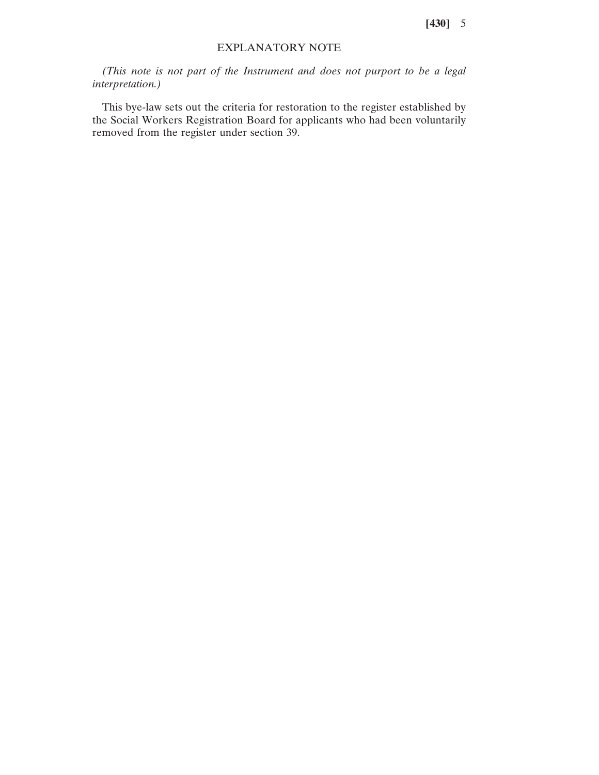**[430]** 5

## EXPLANATORY NOTE

*(This note is not part of the Instrument and does not purport to be a legal interpretation.)*

This bye-law sets out the criteria for restoration to the register established by the Social Workers Registration Board for applicants who had been voluntarily removed from the register under section 39.